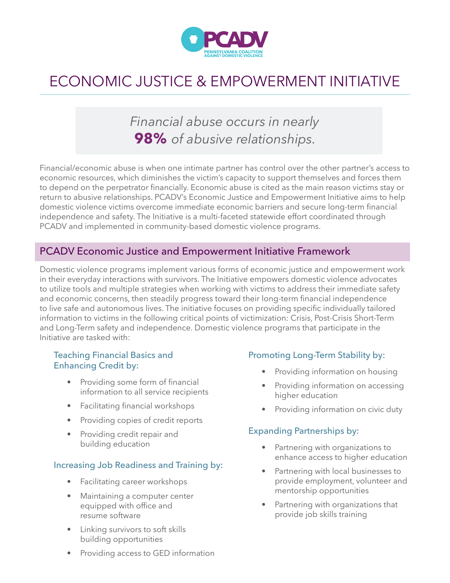

# ECONOMIC JUSTICE & EMPOWERMENT INITIATIVE

## *Financial abuse occurs in nearly*  **98%** *of abusive relationships.*

Financial/economic abuse is when one intimate partner has control over the other partner's access to economic resources, which diminishes the victim's capacity to support themselves and forces them to depend on the perpetrator financially. Economic abuse is cited as the main reason victims stay or return to abusive relationships. PCADV's Economic Justice and Empowerment Initiative aims to help domestic violence victims overcome immediate economic barriers and secure long-term financial independence and safety. The Initiative is a multi-faceted statewide effort coordinated through PCADV and implemented in community-based domestic violence programs.

#### PCADV Economic Justice and Empowerment Initiative Framework

Domestic violence programs implement various forms of economic justice and empowerment work in their everyday interactions with survivors. The Initiative empowers domestic violence advocates to utilize tools and multiple strategies when working with victims to address their immediate safety and economic concerns, then steadily progress toward their long-term financial independence to live safe and autonomous lives. The initiative focuses on providing specific individually tailored information to victims in the following critical points of victimization: Crisis, Post-Crisis Short-Term and Long-Term safety and independence. Domestic violence programs that participate in the Initiative are tasked with:

#### Teaching Financial Basics and Enhancing Credit by:

- Providing some form of financial information to all service recipients
- Facilitating financial workshops
- Providing copies of credit reports
- Providing credit repair and building education

#### Increasing Job Readiness and Training by:

- Facilitating career workshops
- Maintaining a computer center equipped with office and resume software
- Linking survivors to soft skills building opportunities
- Providing access to GED information

#### Promoting Long-Term Stability by:

- Providing information on housing
- Providing information on accessing higher education
- Providing information on civic duty

#### Expanding Partnerships by:

- Partnering with organizations to enhance access to higher education
- Partnering with local businesses to provide employment, volunteer and mentorship opportunities
- Partnering with organizations that provide job skills training